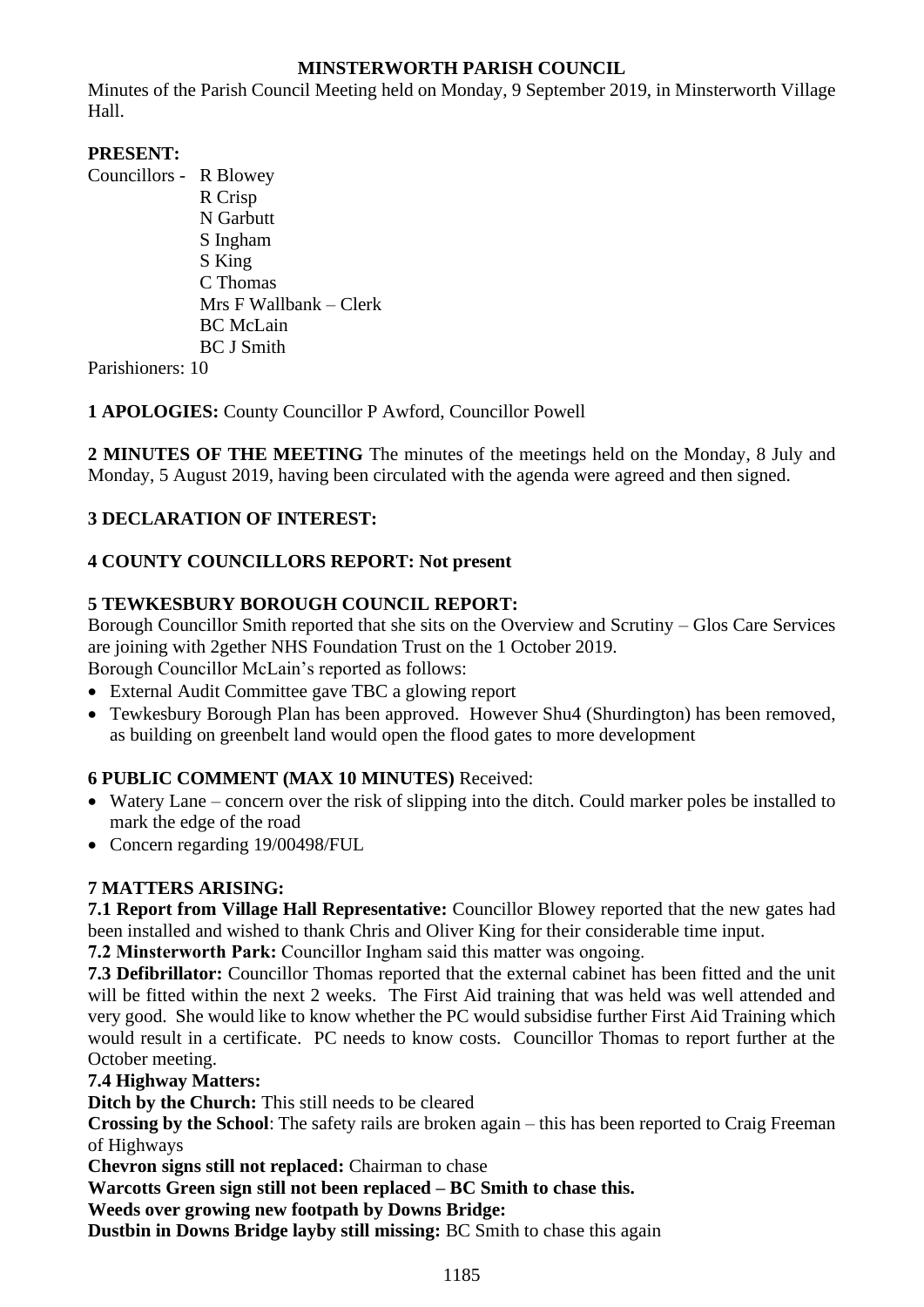## **MINSTERWORTH PARISH COUNCIL**

Minutes of the Parish Council Meeting held on Monday, 9 September 2019, in Minsterworth Village Hall.

## **PRESENT:**

Councillors - R Blowey R Crisp N Garbutt S Ingham S King C Thomas Mrs F Wallbank – Clerk BC McLain BC J Smith

Parishioners: 10

**1 APOLOGIES:** County Councillor P Awford, Councillor Powell

**2 MINUTES OF THE MEETING** The minutes of the meetings held on the Monday, 8 July and Monday, 5 August 2019, having been circulated with the agenda were agreed and then signed.

## **3 DECLARATION OF INTEREST:**

# **4 COUNTY COUNCILLORS REPORT: Not present**

## **5 TEWKESBURY BOROUGH COUNCIL REPORT:**

Borough Councillor Smith reported that she sits on the Overview and Scrutiny – Glos Care Services are joining with 2gether NHS Foundation Trust on the 1 October 2019.

Borough Councillor McLain's reported as follows:

- External Audit Committee gave TBC a glowing report
- Tewkesbury Borough Plan has been approved. However Shu4 (Shurdington) has been removed, as building on greenbelt land would open the flood gates to more development

# **6 PUBLIC COMMENT (MAX 10 MINUTES)** Received:

- Watery Lane concern over the risk of slipping into the ditch. Could marker poles be installed to mark the edge of the road
- Concern regarding 19/00498/FUL

## **7 MATTERS ARISING:**

**7.1 Report from Village Hall Representative:** Councillor Blowey reported that the new gates had been installed and wished to thank Chris and Oliver King for their considerable time input.

**7.2 Minsterworth Park:** Councillor Ingham said this matter was ongoing.

**7.3 Defibrillator:** Councillor Thomas reported that the external cabinet has been fitted and the unit will be fitted within the next 2 weeks. The First Aid training that was held was well attended and very good. She would like to know whether the PC would subsidise further First Aid Training which would result in a certificate. PC needs to know costs. Councillor Thomas to report further at the October meeting.

## **7.4 Highway Matters:**

**Ditch by the Church:** This still needs to be cleared

**Crossing by the School**: The safety rails are broken again – this has been reported to Craig Freeman of Highways

**Chevron signs still not replaced:** Chairman to chase

**Warcotts Green sign still not been replaced – BC Smith to chase this.**

**Weeds over growing new footpath by Downs Bridge:**

**Dustbin in Downs Bridge layby still missing:** BC Smith to chase this again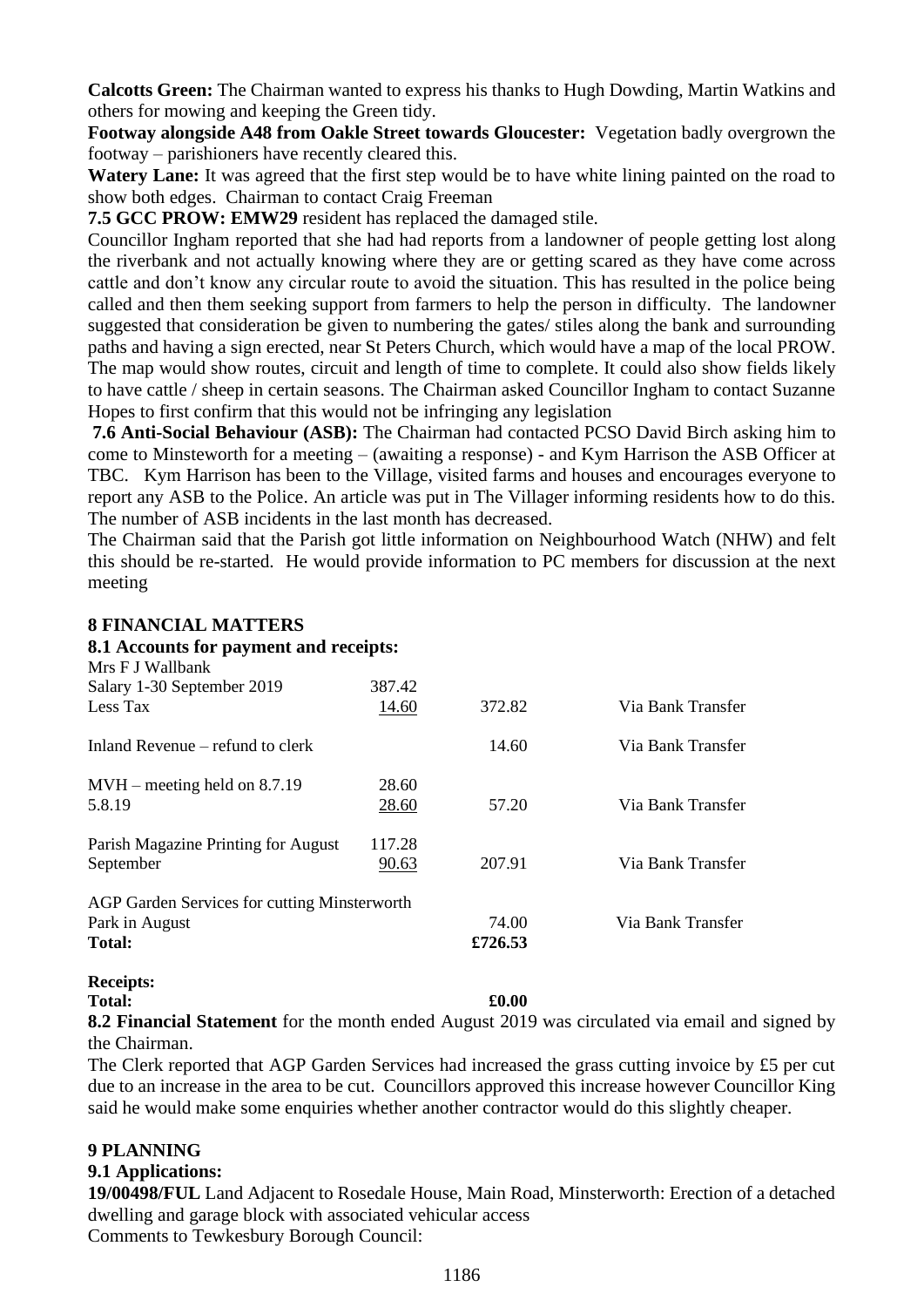**Calcotts Green:** The Chairman wanted to express his thanks to Hugh Dowding, Martin Watkins and others for mowing and keeping the Green tidy.

**Footway alongside A48 from Oakle Street towards Gloucester:** Vegetation badly overgrown the footway – parishioners have recently cleared this.

**Watery Lane:** It was agreed that the first step would be to have white lining painted on the road to show both edges. Chairman to contact Craig Freeman

**7.5 GCC PROW: EMW29** resident has replaced the damaged stile.

Councillor Ingham reported that she had had reports from a landowner of people getting lost along the riverbank and not actually knowing where they are or getting scared as they have come across cattle and don't know any circular route to avoid the situation. This has resulted in the police being called and then them seeking support from farmers to help the person in difficulty. The landowner suggested that consideration be given to numbering the gates/ stiles along the bank and surrounding paths and having a sign erected, near St Peters Church, which would have a map of the local PROW. The map would show routes, circuit and length of time to complete. It could also show fields likely to have cattle / sheep in certain seasons. The Chairman asked Councillor Ingham to contact Suzanne Hopes to first confirm that this would not be infringing any legislation

**7.6 Anti-Social Behaviour (ASB):** The Chairman had contacted PCSO David Birch asking him to come to Minsteworth for a meeting – (awaiting a response) - and Kym Harrison the ASB Officer at TBC. Kym Harrison has been to the Village, visited farms and houses and encourages everyone to report any ASB to the Police. An article was put in The Villager informing residents how to do this. The number of ASB incidents in the last month has decreased.

The Chairman said that the Parish got little information on Neighbourhood Watch (NHW) and felt this should be re-started. He would provide information to PC members for discussion at the next meeting

### **8 FINANCIAL MATTERS**

| 8.1 Accounts for payment and receipts:       |        |         |                   |
|----------------------------------------------|--------|---------|-------------------|
| Mrs F J Wallbank                             |        |         |                   |
| Salary 1-30 September 2019                   | 387.42 |         |                   |
| Less Tax                                     | 14.60  | 372.82  | Via Bank Transfer |
| Inland Revenue – refund to clerk             |        | 14.60   | Via Bank Transfer |
| $MVH$ – meeting held on 8.7.19               | 28.60  |         |                   |
| 5.8.19                                       | 28.60  | 57.20   | Via Bank Transfer |
| Parish Magazine Printing for August          | 117.28 |         |                   |
| September                                    | 90.63  | 207.91  | Via Bank Transfer |
| AGP Garden Services for cutting Minsterworth |        |         |                   |
| Park in August                               |        | 74.00   | Via Bank Transfer |
| <b>Total:</b>                                |        | £726.53 |                   |
|                                              |        |         |                   |

# **Receipts:**

#### **Total: £0.00**

**8.2 Financial Statement** for the month ended August 2019 was circulated via email and signed by the Chairman.

The Clerk reported that AGP Garden Services had increased the grass cutting invoice by £5 per cut due to an increase in the area to be cut. Councillors approved this increase however Councillor King said he would make some enquiries whether another contractor would do this slightly cheaper.

## **9 PLANNING**

## **9.1 Applications:**

**19/00498/FUL** Land Adjacent to Rosedale House, Main Road, Minsterworth: Erection of a detached dwelling and garage block with associated vehicular access Comments to Tewkesbury Borough Council: